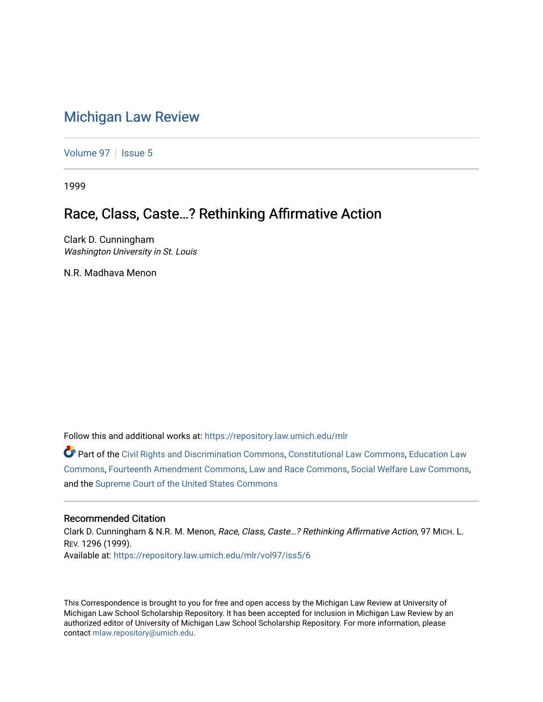# [Michigan Law Review](https://repository.law.umich.edu/mlr)

[Volume 97](https://repository.law.umich.edu/mlr/vol97) | [Issue 5](https://repository.law.umich.edu/mlr/vol97/iss5)

1999

# Race, Class, Caste…? Rethinking Affirmative Action

Clark D. Cunningham Washington University in St. Louis

N.R. Madhava Menon

Follow this and additional works at: [https://repository.law.umich.edu/mlr](https://repository.law.umich.edu/mlr?utm_source=repository.law.umich.edu%2Fmlr%2Fvol97%2Fiss5%2F6&utm_medium=PDF&utm_campaign=PDFCoverPages) 

Part of the [Civil Rights and Discrimination Commons,](http://network.bepress.com/hgg/discipline/585?utm_source=repository.law.umich.edu%2Fmlr%2Fvol97%2Fiss5%2F6&utm_medium=PDF&utm_campaign=PDFCoverPages) [Constitutional Law Commons,](http://network.bepress.com/hgg/discipline/589?utm_source=repository.law.umich.edu%2Fmlr%2Fvol97%2Fiss5%2F6&utm_medium=PDF&utm_campaign=PDFCoverPages) [Education Law](http://network.bepress.com/hgg/discipline/596?utm_source=repository.law.umich.edu%2Fmlr%2Fvol97%2Fiss5%2F6&utm_medium=PDF&utm_campaign=PDFCoverPages) [Commons](http://network.bepress.com/hgg/discipline/596?utm_source=repository.law.umich.edu%2Fmlr%2Fvol97%2Fiss5%2F6&utm_medium=PDF&utm_campaign=PDFCoverPages), [Fourteenth Amendment Commons,](http://network.bepress.com/hgg/discipline/1116?utm_source=repository.law.umich.edu%2Fmlr%2Fvol97%2Fiss5%2F6&utm_medium=PDF&utm_campaign=PDFCoverPages) [Law and Race Commons,](http://network.bepress.com/hgg/discipline/1300?utm_source=repository.law.umich.edu%2Fmlr%2Fvol97%2Fiss5%2F6&utm_medium=PDF&utm_campaign=PDFCoverPages) [Social Welfare Law Commons](http://network.bepress.com/hgg/discipline/878?utm_source=repository.law.umich.edu%2Fmlr%2Fvol97%2Fiss5%2F6&utm_medium=PDF&utm_campaign=PDFCoverPages), and the [Supreme Court of the United States Commons](http://network.bepress.com/hgg/discipline/1350?utm_source=repository.law.umich.edu%2Fmlr%2Fvol97%2Fiss5%2F6&utm_medium=PDF&utm_campaign=PDFCoverPages)

### Recommended Citation

Clark D. Cunningham & N.R. M. Menon, Race, Class, Caste…? Rethinking Affirmative Action, 97 MICH. L. REV. 1296 (1999). Available at: [https://repository.law.umich.edu/mlr/vol97/iss5/6](https://repository.law.umich.edu/mlr/vol97/iss5/6?utm_source=repository.law.umich.edu%2Fmlr%2Fvol97%2Fiss5%2F6&utm_medium=PDF&utm_campaign=PDFCoverPages)

This Correspondence is brought to you for free and open access by the Michigan Law Review at University of Michigan Law School Scholarship Repository. It has been accepted for inclusion in Michigan Law Review by an authorized editor of University of Michigan Law School Scholarship Repository. For more information, please contact [mlaw.repository@umich.edu](mailto:mlaw.repository@umich.edu).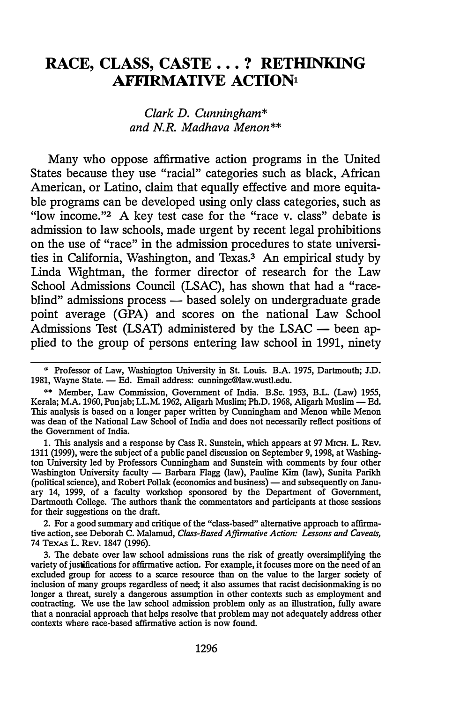## RACE, CLASS, CASTE . . . ? RETHINKING **AFFIRMATIVE ACTION1**

Clark D. Cunningham\* and N.R. Madhava Menon\*\*

Many who oppose affirmative action programs in the United States because they use "racial" categories such as black, African American, or Latino, claim that equally effective and more equitable programs can be developed using only class categories, such as "low income."2 A key test case for the "race v. class" debate is admission to law schools, made urgent by recent legal prohibitions on the use of "race" in the admission procedures to state universities in California, Washington, and Texas.3 An empirical study by Linda Wightman, the former director of research for the Law School Admissions Council (LSAC), has shown that had a "raceblind" admissions process — based solely on undergraduate grade point average (GPA) and scores on the national Law School Admissions Test (LSAT) administered by the LSAC  $-$  been applied to the group of persons entering law school in 1991, ninety

1. This analysis and a response by Cass R. Sunstein, which appears at 97 MICH. L. REv. 1311 (1999), were the subject of a public panel discussion on September 9, 1998, at Washing· ton University led by Professors Cunningham and Sunstein with comments by four other Washington University faculty - Barbara Flagg (law), Pauline Kim (law), Sunita Parikh (political science), and Robert Pollak (economics and business) — and subsequently on January 14, 1999, of a faculty workshop sponsored by the Department of Government, Dartmouth College. The authors thank the commentators and participants at those sessions for their suggestions on the draft.

2. For a good summary and critique of the "class-based" alternative approach to affirma· tive action, see Deborah C. Malamud, Class-Based Affirmative Action: Lessons and Caveats, 74 TEXAS L. REv. 1847 (1996).

<sup>\*</sup> Professor of Law, Washington University in St. Louis. B.A. 1975, Dartmouth; J.D. 1981, Wayne State. - Ed. Email address: cunningc@law.wustl.edu.

<sup>\*\*</sup> Member, Law Commission, Government of India. B.Sc. 1953, B.L. (Law) 1955, Kerala; M.A. 1960, Punjab; LL.M. 1962, Aligarh Muslim; Ph.D. 1968, Aligarh Muslim - Ed. This analysis is based on a longer paper written by Cunningham and Menon while Menon was dean of the National Law School of India and does not necessarily reflect positions of the Government of India.

<sup>3.</sup> The debate over law school admissions runs the risk of greatly oversimplifying the variety of justifications for affirmative action. For example, it focuses more on the need of an excluded group for access to a scarce resource than on the value to the larger society of inclusion of many groups regardless of need; it also assumes that racist decisionmaking is no longer a threat, surely a dangerous assumption in other contexts such as employment and contracting. We use the law school admission problem only as an illustration, fully aware that a nonracial approach that helps resolve that problem may not adequately address other contexts where race-based affirmative action is now found.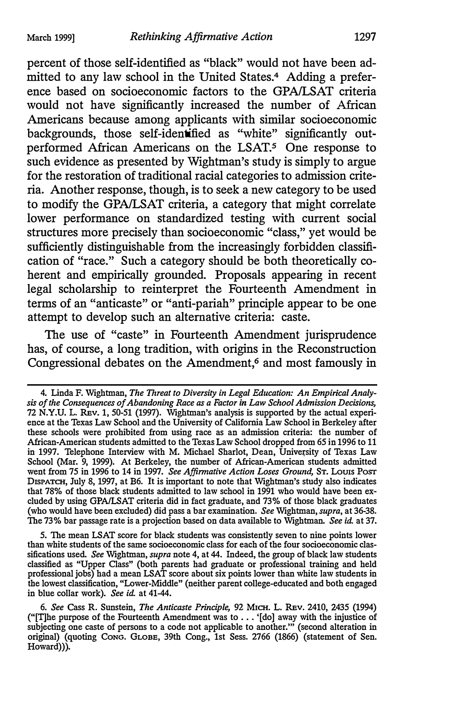percent of those self-identified as "black" would not have been admitted to any law school in the United States.4 Adding a preference based on socioeconomic factors to the GPA/LSAT criteria would not have significantly increased the number of African Americans because among applicants with similar socioeconomic backgrounds, those self-identified as "white" significantly outperformed African Americans on the LSAT.5 One response to such evidence as presented by Wightman's study is simply to argue for the restoration of traditional racial categories to admission criteria. Another response, though, is to seek a new category to be used to modify the GPA/LSAT criteria, a category that might correlate lower performance on standardized testing with current social structures more precisely than socioeconomic "class," yet would be sufficiently distinguishable from the increasingly forbidden classification of "race." Such a category should be both theoretically coherent and empirically grounded. Proposals appearing in recent legal scholarship to reinterpret the Fourteenth Amendment in terms of an "anticaste" or "anti-pariah" principle appear to be one attempt to develop such an alternative criteria: caste.

The use of "caste" in Fourteenth Amendment jurisprudence has, of course, a long tradition, with origins in the Reconstruction Congressional debates on the Amendment,<sup>6</sup> and most famously in

5. The mean LSAT score for black students was consistently seven to nine points lower than white students of the same socioeconomic class for each of the four socioeconomic classifications used. See Wightman, supra note 4, at 44. Indeed, the group of black law students classified as "Upper Class" (both parents had graduate or professional training and held professional jobs) had a mean LSAT score about six points lower than white law students in the lowest classification, "Lower-Middle" (neither parent college-educated and both engaged in blue collar work). See id. at 41-44.

<sup>4.</sup> Linda F. Wightman, The Threat to Diversity in Legal Education: An Empirical Analysis of the Consequences of Abandoning Race as a Factor in Law School Admission Decisions, 72 N.Y.U. L. REv. 1, 50-51 (1997). Wightman's analysis is supported by the actual experience at the Texas Law School and the University of California Law School in Berkeley after these schools were prohibited from using race as an admission criteria: the number of African-American students admitted to the Texas Law School dropped from 65 in 1996 to 11 in 1997. Telephone Interview with M. Michael Sharlot, Dean, University of Texas Law School (Mar. 9, 1999). At Berkeley, the number of African-American students admitted went from 75 in 1996 to 14 in 1997. See Affirmative Action Loses Ground, ST. Louis Posr DISPATCH, July 8, 1997, at B6. It is important to note that Wightman's study also indicates that 78% of those black students admitted to law school in 1991 who would have been excluded by using GPA/LSAT criteria did in fact graduate, and 73% of those black graduates (who would have been excluded) did pass a bar examination. See Wightman, supra, at 36-38. The 73% bar passage rate is a projection based on data available to Wightman. See id. at 37.

<sup>6.</sup> See cass R. Sunstein, The Anticaste Principle, 92 MICH. L. REv. 2410, 2435 (1994) ("[T]he purpose of the Fourteenth Amendment was to ... '[do] away with the injustice of subjecting one caste of persons to a code not applicable to another."' (second alteration in original) (quoting CoNG. GLOBE, 39th Cong., 1st Sess. 2766 (1866) (statement of Sen. Howard))).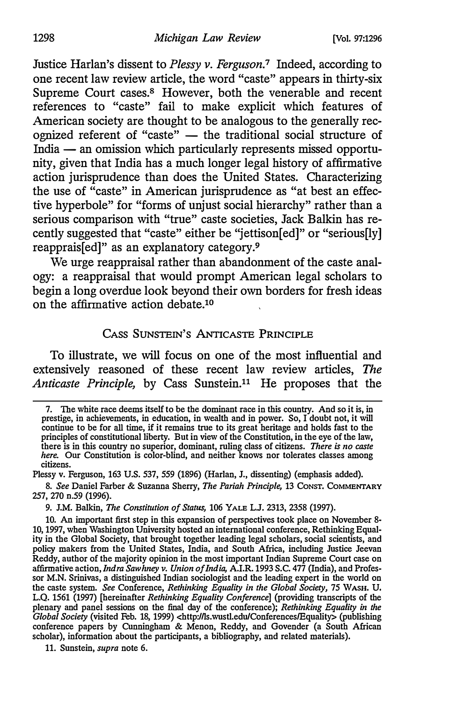Justice Harlan's dissent to Plessy v. Ferguson.<sup>7</sup> Indeed, according to one recent law review article, the word "caste" appears in thirty-six Supreme Court cases.<sup>8</sup> However, both the venerable and recent references to "caste" fail to make explicit which features of American society are thought to be analogous to the generally recognized referent of "caste" - the traditional social structure of India - an omission which particularly represents missed opportunity, given that India has a much longer legal history of affirmative action jurisprudence than does the United States. Characterizing the use of "caste" in American jurisprudence as "at best an effective hyperbole" for "forms of unjust social hierarchy" rather than a serious comparison with "true" caste societies, Jack Balkin has recently suggested that "caste" either be "jettison[ed]" or "serious[ly] reapprais[ed]" as an explanatory category.<sup>9</sup>

We urge reappraisal rather than abandonment of the caste analogy: a reappraisal that would prompt American legal scholars to begin a long overdue look beyond their own borders for fresh ideas on the affirmative action debate.10

### CASS SUNSTEIN'S ANTICASTE PRINCIPLE

To illustrate, we will focus on one of the most influential and extensively reasoned of these recent law review articles, The Anticaste Principle, by Cass Sunstein.<sup>11</sup> He proposes that the

Plessy v. Ferguson, 163 U.S. 537, 559 (1896) (Harlan, J., dissenting) (emphasis added).

8. See Daniel Farber & Suzanna Sherry, The Pariah Principle, 13 CONST. COMMENTARY 257, 270 n.59 (1996).

9. J.M. Balkin, The Constitution of Status, 106 YALE L.J. 2313, 2358 (1997).

10. An important first step in this expansion of perspectives took place on November 8- 10, 1997, when Washington University hosted an international conference, Rethinking Equality in the Global Society, that brought together leading legal scholars, social scientists, and policy makers from the United States, India, and South Africa, including Justice Jeevan Reddy, author of the majority opinion in the most important Indian Supreme Court case on affirmative action, *Indra Sawhney v. Union of India*, A.I.R. 1993 S.C. 477 (India), and Professor M.N. Srinivas, a distinguished Indian sociologist and the leading expert in the world on the caste system. See Conference, Rethinking Equality in the Global Society, 75 WASH. U. L.Q. 1561 (1997) [hereinafter Rethinking Equality Conference] (providing transcripts of the plenary and panel sessions on the final day of the conference); Rethinking Equality in the Global Society (visited Feb. 18, 1999) <http://ls.wustl.edu/Conferences/Equality> (publishing conference papers by Cunningham & Menon, Reddy, and Govender (a South African scholar), information about the participants, a bibliography, and related materials).

11. Sunstein, supra note 6.

<sup>7.</sup> The white race deems itself to be the dominant race in this country. And so it is, in prestige, in achievements, in education, in wealth and in power. So, I doubt not, it will continue to be for all time, if it remains true to its great heritage and holds fast to the principles of constitutional liberty. But in view of the Constitution, in the eye of the law, there is in this country no superior, dominant, ruling class of citizens. There is no caste here. Our Constitution is color-blind, and neither knows nor tolerates classes among citizens.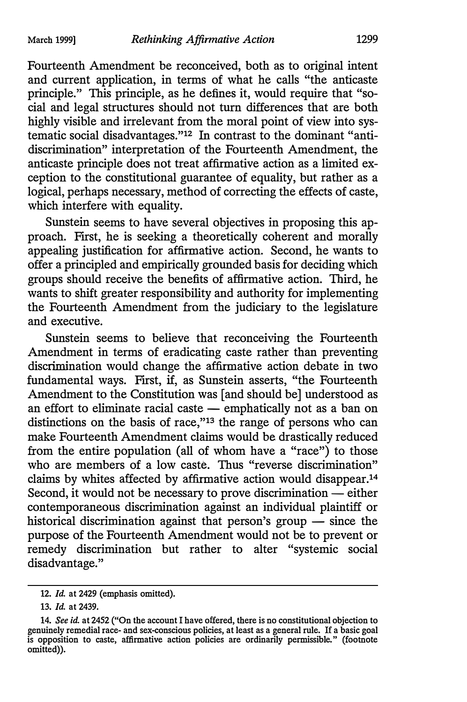Fourteenth Amendment be reconceived, both as to original intent and current application, in terms of what he calls "the anticaste principle." This principle, as he defines it, would require that "social and legal structures should not turn differences that are both highly visible and irrelevant from the moral point of view into systematic social disadvantages."12 In contrast to the dominant "antidiscrimination" interpretation of the Fourteenth Amendment, the anticaste principle does not treat affirmative action as a limited exception to the constitutional guarantee of equality, but rather as a logical, perhaps necessary, method of correcting the effects of caste, which interfere with equality.

Sunstein seems to have several objectives in proposing this approach. First, he is seeking a theoretically coherent and morally appealing justification for affirmative action. Second, he wants to offer a principled and empirically grounded basis for deciding which groups should receive the benefits of affirmative action. Third, he wants to shift greater responsibility and authority for implementing the Fourteenth Amendment from the judiciary to the legislature and executive.

Sunstein seems to believe that reconceiving the Fourteenth Amendment in terms of eradicating caste rather than preventing discrimination would change the affirmative action debate in two fundamental ways. First, if, as Sunstein asserts, "the Fourteenth Amendment to the Constitution was [and should be] understood as an effort to eliminate racial caste  $-$  emphatically not as a ban on distinctions on the basis of race,"13 the range of persons who can make Fourteenth Amendment claims would be drastically reduced from the entire population (all of whom have a "race") to those who are members of a low caste. Thus "reverse discrimination" claims by whites affected by affirmative action would disappear.14 Second, it would not be necessary to prove discrimination — either contemporaneous discrimination against an individual plaintiff or historical discrimination against that person's group  $-$  since the purpose of the Fourteenth Amendment would not be to prevent or remedy discrimination but rather to alter "systemic social disadvantage."

<sup>12.</sup> Id. at 2429 (emphasis omitted).

<sup>13.</sup> Id. at 2439.

<sup>14.</sup> See id. at 2452 ("On the account I have offered, there is no constitutional objection to genuinely remedial race- and sex-conscious policies, at least as a general rule. If a basic goal is opposition to caste, affirmative action policies are ordinarily permissible." {footnote omitted)).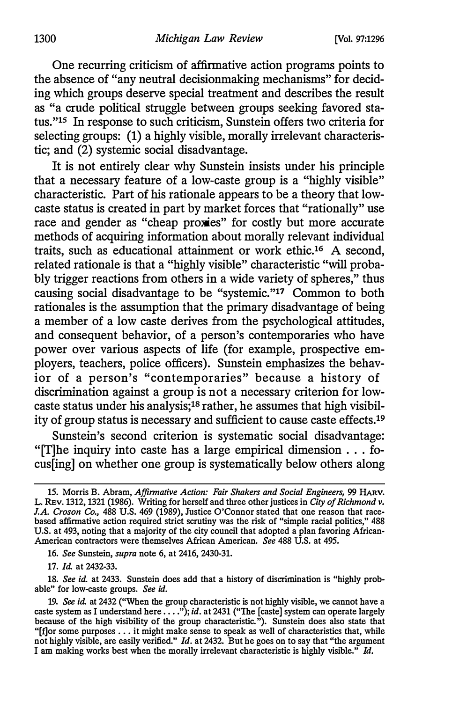One recurring criticism of affirmative action programs points to the absence of "any neutral decisionmaking mechanisms" for deciding which groups deserve special treatment and describes the result as "a crude political struggle between groups seeking favored status."15 In response to such criticism, Sunstein offers two criteria for selecting groups: (1) a highly visible, morally irrelevant characteristic; and (2) systemic social disadvantage.

It is not entirely clear why Sunstein insists under his principle that a necessary feature of a low-caste group is a "highly visible" characteristic. Part of his rationale appears to be a theory that lowcaste status is created in part by market forces that "rationally" use race and gender as "cheap proxies" for costly but more accurate methods of acquiring information about morally relevant individual traits, such as educational attainment or work ethic.16 A second, related rationale is that a "highly visible" characteristic "will probably trigger reactions from others in a wide variety of spheres," thus causing social disadvantage to be "systemic."17 Common to both rationales is the assumption that the primary disadvantage of being a member of a low caste derives from the psychological attitudes, and consequent behavior, of a person's contemporaries who have power over various aspects of life (for example, prospective employers, teachers, police officers). Sunstein emphasizes the behavior of a person's "contemporaries" because a history of discrimination against a group is not a necessary criterion for lowcaste status under his analysis;18 rather, he assumes that high visibility of group status is necessary and sufficient to cause caste effects.19

Sunstein's second criterion is systematic social disadvantage: "[T]he inquiry into caste has a large empirical dimension ... focus[ing] on whether one group is systematically below others along

16. See Sunstein, supra note 6, at 2416, 2430-31.

17. Id. at 2432-33.

18. See id. at 2433. Sunstein does add that a history of discrimination is "highly probable" for low-caste groups. See id.

<sup>15.</sup> Morris B. Abram, Affirmative Action: Fair Shakers and Social Engineers, 99 HARV. L. Rev. 1312, 1321 (1986). Writing for herself and three other justices in City of Richmond v. J.A. Croson Co., 488 U.S. 469 (1989), Justice O'Connor stated that one reason that racebased affirmative action required strict scrutiny was the risk of "simple racial politics," 488 U.S. at 493, noting that a majority of the city council that adopted a plan favoring African-American contractors were themselves African American. See 488 U.S. at 495.

<sup>19.</sup> See id. at 2432 ("When the group characteristic is not highly visible, we cannot have a caste system as I understand here ...."); id. at 2431 ("The [caste] system can operate largely because of the high visibility of the group characteristic."). Sunstein does also state that "[f]or some purposes .. . it might make sense to speak as well of characteristics that, while not highly visible, are easily verified." *Id*. at 2432. But he goes on to say that "the argument I am making works best when the morally irrelevant characteristic is highly visible." Id.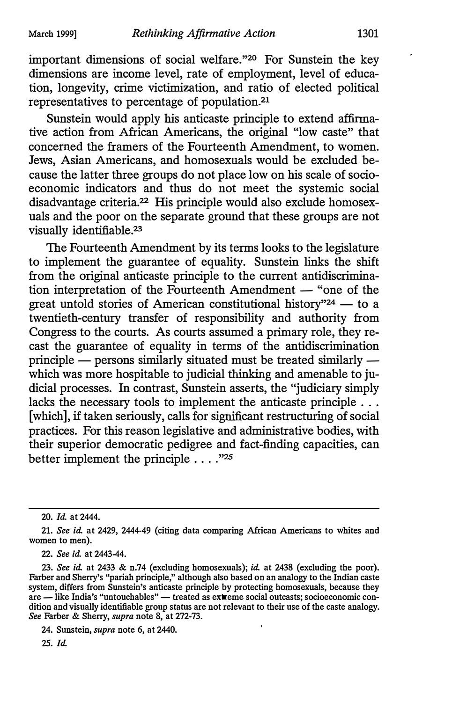important dimensions of social welfare."<sup>20</sup> For Sunstein the key dimensions are income level, rate of employment, level of education, longevity, crime victimization, and ratio of elected political representatives to percentage of population.21

Sunstein would apply his anticaste principle to extend affirmative action from African Americans, the original "low caste" that concerned the framers of the Fourteenth Amendment, to women. Jews, Asian Americans, and homosexuals would be excluded because the latter three groups do not place low on his scale of socioeconomic indicators and thus do not meet the systemic social disadvantage criteria.<sup>22</sup> His principle would also exclude homosexuals and the poor on the separate ground that these groups are not visually identifiable.23

The Fourteenth Amendment by its terms looks to the legislature to implement the guarantee of equality. Sunstein links the shift from the original anticaste principle to the current antidiscrimination interpretation of the Fourteenth Amendment — "one of the great untold stories of American constitutional history"<sup>24</sup>  $-$  to a twentieth-century transfer of responsibility and authority from Congress to the courts. As courts assumed a primary role, they recast the guarantee of equality in terms of the antidiscrimination principle  $-$  persons similarly situated must be treated similarly  $$ which was more hospitable to judicial thinking and amenable to judicial processes. In contrast, Sunstein asserts, the "judiciary simply lacks the necessary tools to implement the anticaste principle . . . [which], if taken seriously, calls for significant restructuring of social practices. For this reason legislative and administrative bodies, with their superior democratic pedigree and fact-finding capacities, can better implement the principle  $\dots$ ."<sup>25</sup>

22. See id. at 2443-44.

24. Sunstein, supra note 6, at 2440.

25. Id.

<sup>20.</sup> Id. at 2444.

<sup>21.</sup> See id. at 2429, 2444-49 (citing data comparing African Americans to whites and women to men).

<sup>23.</sup> See id. at 2433 & n.74 (excluding homosexuals); id. at 2438 (excluding the poor). Farber and Sherry's "pariah principle," although also based on an analogy to the Indian caste system, differs from Sunstein's anticaste principle by protecting homosexuals, because they are — like India's "untouchables" — treated as extreme social outcasts; socioeconomic condition and visually identifiable group status are not relevant to their use of the caste analogy. See Farber & Sherry, supra note 8, at 272-73.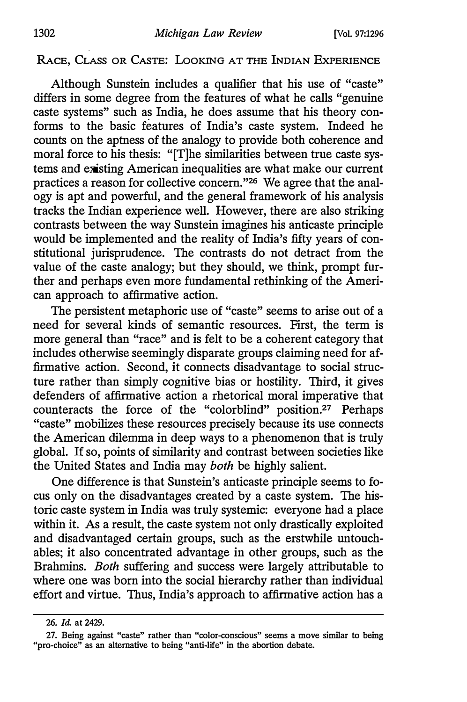### RACE, CLASS OR CASTE: LOOKING AT THE INDIAN EXPERIENCE

Although Sunstein includes a qualifier that his use of "caste" differs in some degree from the features of what he calls "genuine caste systems" such as India, he does assume that his theory conforms to the basic features of India's caste system. Indeed he counts on the aptness of the analogy to provide both coherence and moral force to his thesis: "[T]he similarities between true caste systems and existing American inequalities are what make our current practices a reason for collective concern."26 We agree that the analogy is apt and powerful, and the general framework of his analysis tracks the Indian experience well. However, there are also striking contrasts between the way Sunstein imagines his anticaste principle would be implemented and the reality of India's fifty years of constitutional jurisprudence. The contrasts do not detract from the value of the caste analogy; but they should, we think, prompt further and perhaps even more fundamental rethinking of the American approach to affirmative action.

The persistent metaphoric use of "caste" seems to arise out of a need for several kinds of semantic resources. First, the term is more general than "race" and is felt to be a coherent category that includes otherwise seemingly disparate groups claiming need for affirmative action. Second, it connects disadvantage to social structure rather than simply cognitive bias or hostility. Third, it gives defenders of affirmative action a rhetorical moral imperative that counteracts the force of the "colorblind" position.27 Perhaps "caste" mobilizes these resources precisely because its use connects the American dilemma in deep ways to a phenomenon that is truly global. If so, points of similarity and contrast between societies like the United States and India may both be highly salient.

One difference is that Sunstein's anticaste principle seems to focus only on the disadvantages created by a caste system. The historic caste system in India was truly systemic: everyone had a place within it. As a result, the caste system not only drastically exploited and disadvantaged certain groups, such as the erstwhile untouchables; it also concentrated advantage in other groups, such as the Brahmins. Both suffering and success were largely attributable to where one was born into the social hierarchy rather than individual effort and virtue. Thus, India's approach to affirmative action has a

<sup>26.</sup> Id. at 2429.

<sup>27.</sup> Being against "caste" rather than "color-conscious" seems a move similar to being "pro-choice" as an alternative to being "anti-life" in the abortion debate.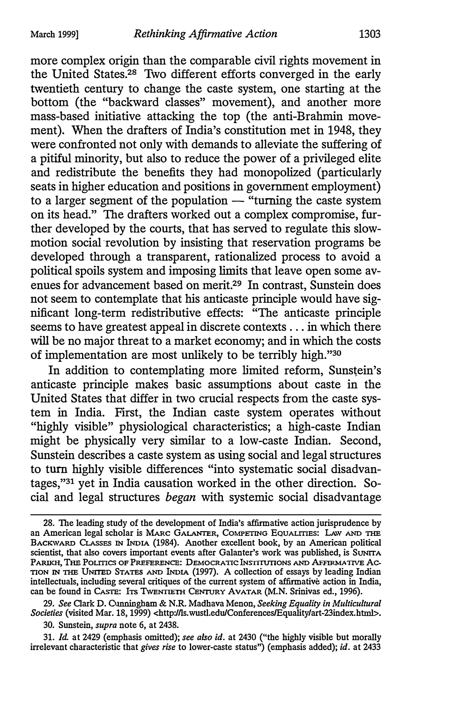more complex origin than the comparable civil rights movement in the United States.28 Two different efforts converged in the early twentieth century to change the caste system, one starting at the bottom (the "backward classes" movement), and another more mass-based initiative attacking the top (the anti-Brahmin movement). When the drafters of India's constitution met in 1948, they were confronted not only with demands to alleviate the suffering of a pitiful minority, but also to reduce the power of a privileged elite and redistribute the benefits they had monopolized (particularly seats in higher education and positions in government employment) to a larger segment of the population  $-$  "turning the caste system" on its head." The drafters worked out a complex compromise, further developed by the courts, that has served to regulate this slowmotion social revolution by insisting that reservation programs be developed through a transparent, rationalized process to avoid a political spoils system and imposing limits that leave open some avenues for advancement based on merit.29 In contrast, Sunstein does not seem to contemplate that his anticaste principle would have significant long-term redistributive effects: "The anticaste principle seems to have greatest appeal in discrete contexts ... in which there will be no major threat to a market economy; and in which the costs of implementation are most unlikely to be terribly high."30

In addition to contemplating more limited reform, Sunstein's anticaste principle makes basic assumptions about caste in the United States that differ in two crucial respects from the caste system in India. First, the Indian caste system operates without "highly visible" physiological characteristics; a high-caste Indian might be physically very similar to a low-caste Indian. Second, Sunstein describes a caste system as using social and legal structures to turn highly visible differences "into systematic social disadvantages,"31 yet in India causation worked in the other direction. Social and legal structures began with systemic social disadvantage

<sup>28.</sup> The leading study of the development of India's affirmative action jurisprudence by an American legal scholar is MARC GALANTER, COMPETING EQUALITIES: LAW AND THE BACKWARD CLASSES IN !NDIA (1984). Another excellent book, by an American political scientist, that also covers important events after Galanter's work was published, is SUNITA PARIKH, THE PoLmcs OF PREFERENCE: DEMOCRATIC INSTITUTIONS AND AFFIRMATIVE Ac. TION IN THE UNITED STATES AND !NDIA (1997). A collection of essays by leading Indian intellectuals, including several critiques of the current system of affirmative action in India, can be found in CASTE: ITS TWENTIETH CENTURY AVATAR (M.N. Srinivas ed., 1996).

<sup>29.</sup> See Clark D. Cunningham & N.R. Madhava Menon, Seeking Equality in Multicultural Societies (visited Mar. 18, 1999) <http://ls.wustl.edu/Conferences/Equality/art-23index.html>. 30. Sunstein, *supra* note 6, at 2438.

<sup>31.</sup> Id. at 2429 (emphasis omitted); see also id. at 2430 ("the highly visible but morally irrelevant characteristic that gives rise to lower-caste status") (emphasis added); id. at 2433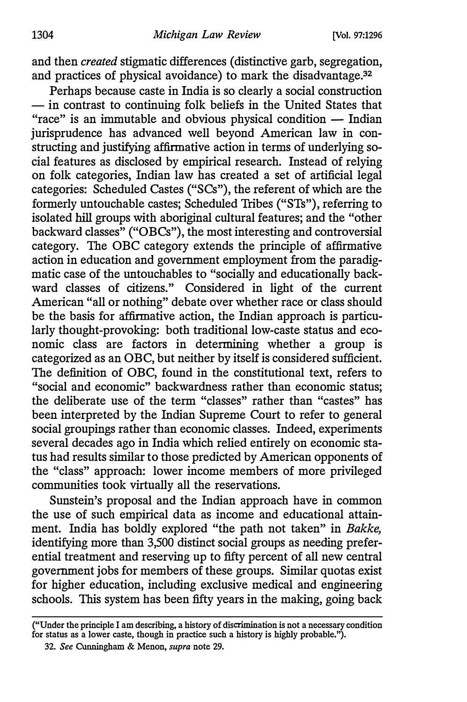and then created stigmatic differences (distinctive garb, segregation, and practices of physical avoidance) to mark the disadvantage.<sup>32</sup>

Perhaps because caste in India is so clearly a social construction - in contrast to continuing folk beliefs in the United States that "race" is an immutable and obvious physical condition  $-$  Indian jurisprudence has advanced well beyond American law in constructing and justifying affirmative action in terms of underlying social features as disclosed by empirical research. Instead of relying on folk categories, Indian law has created a set of artificial legal categories: Scheduled Castes ("SCs"), the referent of which are the formerly untouchable castes; Scheduled Tribes ("STs"), referring to isolated hill groups with aboriginal cultural features; and the "other backward classes" ("OBCs"), the most interesting and controversial category. The OBC category extends the principle of affirmative action in education and government employment from the paradigmatic case of the untouchables to "socially and educationally backward classes of citizens." Considered in light of the current American "all or nothing" debate over whether race or class should be the basis for affirmative action, the Indian approach is particularly thought-provoking: both traditional low-caste status and economic class are factors in determining whether a group is categorized as an OBC, but neither by itself is considered sufficient. The definition of OBC, found in the constitutional text, refers to "social and economic" backwardness rather than economic status; the deliberate use of the term "classes" rather than "castes" has been interpreted by the Indian Supreme Court to refer to general social groupings rather than economic classes. Indeed, experiments several decades ago in India which relied entirely on economic status had results similar to those predicted by American opponents of the "class" approach: lower income members of more privileged communities took virtually all the reservations.

Sunstein's proposal and the Indian approach have in common the use of such empirical data as income and educational attainment. India has boldly explored "the path not taken" in Bakke, identifying more than 3,500 distinct social groups as needing preferential treatment and reserving up to fifty percent of all new central government jobs for members of these groups. Similar quotas exist for higher education, including exclusive medical and engineering schools. This system has been fifty years in the making, going back

<sup>(&</sup>quot;Under the principle I am describing, a history of discrimination is not a necessary condition for status as a lower caste, though in practice such a history is highly probable.").

<sup>32.</sup> See Cunningham & Menon, supra note 29.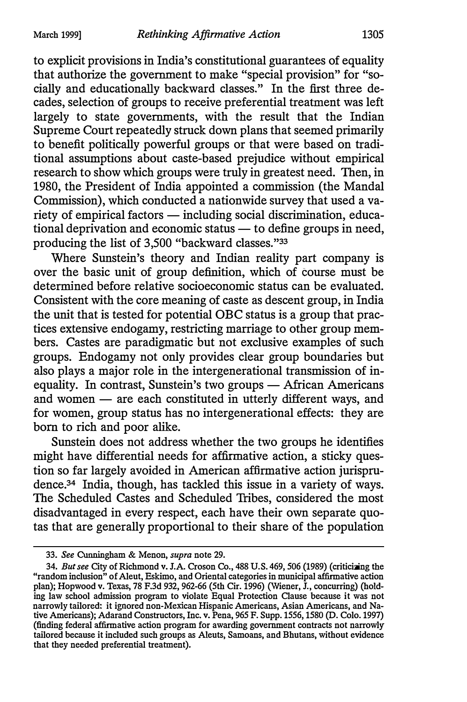to explicit provisions in India's constitutional guarantees of equality that authorize the government to make "special provision" for "socially and educationally backward classes." In the first three decades, selection of groups to receive preferential treatment was left largely to state governments, with the result that the Indian Supreme Court repeatedly struck down plans that seemed primarily to benefit politically powerful groups or that were based on traditional assumptions about caste-based prejudice without empirical research to show which groups were truly in greatest need. Then, in 1980, the President of India appointed a commission (the Mandal Commission), which conducted a nationwide survey that used a variety of empirical factors — including social discrimination, educa $t$ tional deprivation and economic status  $-$  to define groups in need, producing the list of 3,500 "backward classes."33

Where Sunstein's theory and Indian reality part company is over the basic unit of group definition, which of course must be determined before relative socioeconomic status can be evaluated. Consistent with the core meaning of caste as descent group, in India the unit that is tested for potential OBC status is a group that practices extensive endogamy, restricting marriage to other group members. Castes are paradigmatic but not exclusive examples of such groups. Endogamy not only provides clear group boundaries but also plays a major role in the intergenerational transmission of inequality. In contrast, Sunstein's two groups - African Americans and women — are each constituted in utterly different ways, and for women, group status has no intergenerational effects: they are born to rich and poor alike.

Sunstein does not address whether the two groups he identifies might have differential needs for affirmative action, a sticky question so far largely avoided in American affirmative action jurisprudence.34 India, though, has tackled this issue in a variety of ways. The Scheduled Castes and Scheduled Tribes, considered the most disadvantaged in every respect, each have their own separate quotas that are generally proportional to their share of the population

<sup>33.</sup> See Cunningham & Menon, supra note 29.

<sup>34.</sup> But see City of Richmond v. J.A. Croson Co., 488 U.S. 469, 506 (1989) (criticizing the "random inclusion" of Aleut, Eskimo, and Oriental categories in municipal affirmative action plan); Hopwood v. Texas, 78 F.3d 932, 962-66 (5th Cir. 1996) (Wiener, J., concurring) (holding law school admission program to violate Equal Protection Clause because it was not narrowly tailored: it ignored non-Mexican Hispanic Americans, Asian Americans, and Native Americans); Adarand Constructors, Inc. v. Pena, 965 F. Supp. 1556, 1580 (D. Colo. 1997) (finding federal affirmative action program for awarding government contracts not narrowly tailored because it included such groups as Aleuts, Samoans, and Bhutans, without evidence that they needed preferential treatment).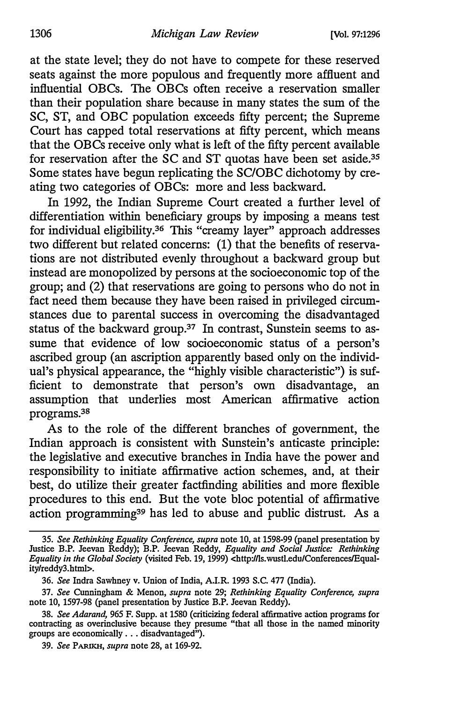at the state level; they do not have to compete for these reserved seats against the more populous and frequently more affluent and influential OBCs. The OBCs often receive a reservation smaller than their population share because in many states the sum of the SC, ST, and OBC population exceeds fifty percent; the Supreme Court has capped total reservations at fifty percent, which means that the OBCs receive only what is left of the fifty percent available for reservation after the SC and ST quotas have been set aside.<sup>35</sup> Some states have begun replicating the SC/OBC dichotomy by creating two categories of OBCs: more and less backward.

In 1992, the Indian Supreme Court created a further level of differentiation within beneficiary groups by imposing a means test for individual eligibility.36 This "creamy layer" approach addresses two different but related concerns: (1) that the benefits of reservations are not distributed evenly throughout a backward group but instead are monopolized by persons at the socioeconomic top of the group; and (2) that reservations are going to persons who do not in fact need them because they have been raised in privileged circumstances due to parental success in overcoming the disadvantaged status of the backward group.37 In contrast, Sunstein seems to assume that evidence of low socioeconomic status of a person's ascribed group (an ascription apparently based only on the individual's physical appearance, the "highly visible characteristic") is sufficient to demonstrate that person's own disadvantage, an assumption that underlies most American affirmative action programs.38

As to the role of the different branches of government, the Indian approach is consistent with Sunstein's anticaste principle: the legislative and executive branches in India have the power and responsibility to initiate affirmative action schemes, and, at their best, do utilize their greater factfinding abilities and more flexible procedures to this end. But the vote bloc potential of affirmative action programming<sup>39</sup> has led to abuse and public distrust. As a

<sup>35.</sup> See Rethinking Equality Conference, supra note 10, at 1598-99 (panel presentation by Justice B.P. Jeevan Reddy); B.P. Jeevan Reddy, Equality and Social Justice: Rethinking Equality in the Global Society (visited Feb. 19, 1999) <http://ls.wustl.edu/Conferences/Equality/reddy3.html>.

<sup>36.</sup> See Indra Sawhney v. Union of India, A.I.R. 1993 S.C. 477 (India).

<sup>37.</sup> See Cunningham & Menon, supra note 29; Rethinking Equality Conference, supra note 10, 1597-98 (panel presentation by Justice B.P. Jeevan Reddy).

<sup>38.</sup> See Adarand, 965 F. Supp. at 1580 (criticizing federal affirmative action programs for contracting as overinclusive because they presume "that all those in the named minority groups are economically ... disadvantaged").

<sup>39.</sup> See PARIKH, supra note 28, at 169-92.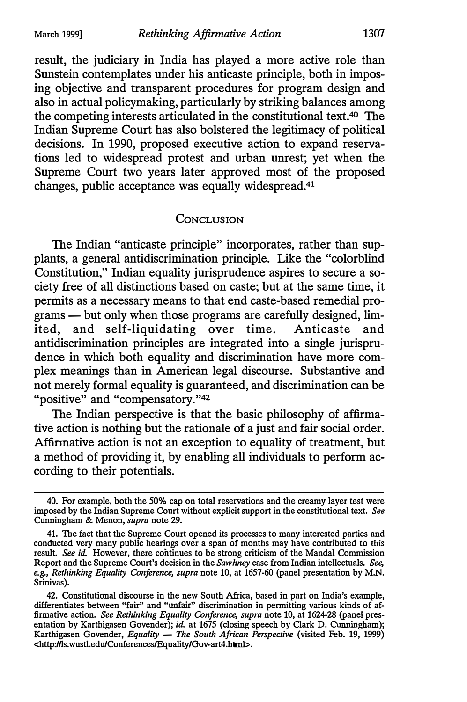result, the judiciary in India has played a more active role than Sunstein contemplates under his anticaste principle, both in imposing objective and transparent procedures for program design and also in actual policymaking, particularly by striking balances among the competing interests articulated in the constitutional text.40 The Indian Supreme Court has also bolstered the legitimacy of political decisions. In 1990, proposed executive action to expand reservations led to widespread protest and urban unrest; yet when the Supreme Court two years later approved most of the proposed changes, public acceptance was equally widespread.41

#### **CONCLUSION**

The Indian "anticaste principle" incorporates, rather than supplants, a general antidiscrimination principle. Like the "colorblind Constitution," Indian equality jurisprudence aspires to secure a society free of all distinctions based on caste; but at the same time, it permits as a necessary means to that end caste-based remedial programs — but only when those programs are carefully designed, limited, and self-liquidating over time. Anticaste and antidiscrimination principles are integrated into a single jurisprudence in which both equality and discrimination have more complex meanings than in American legal discourse. Substantive and not merely formal equality is guaranteed, and discrimination can be "positive" and "compensatory."<sup>42</sup>

The Indian perspective is that the basic philosophy of affirma-Affirm ative action is not an exception to equality of treatment, but tive action is nothing but the rationale of a just and fair social order. a method of providing it, by enabling all individuals to perform according to their potentials.

<sup>40.</sup> For example, both the 50% cap on total reservations and the creamy layer test were imposed by the Indian Supreme Court without explicit support in the constitutional text. See Cunningham & Menon, supra note 29.

<sup>41.</sup> The fact that the Supreme Court opened its processes to many interested parties and conducted very many public hearings over a span of months may have contributed to this result. See id. However, there continues to be strong criticism of the Mandal Commission Report and the Supreme Court's decision in the Sawhney case from Indian intellectuals. See, e.g., Rethinking Equality Conference, supra note 10, at 1657-60 (panel presentation by M.N. Srinivas).

<sup>42.</sup> Constitutional discourse in the new South Africa, based in part on India's example, differentiates between "fair" and "unfair" discrimination in permitting various kinds of affirmative action. See Rethinking Equality Conference, supra note 10, at 1624-28 (panel presentation by Karthigasen Govender); id. at 1675 (closing speech by Clark D. Cunningham); Karthigasen Govender, Equality - The South African Perspective (visited Feb. 19, 1999) <http://ls.wustl.edu/Conferences/Equality/Gov-art4.htini>.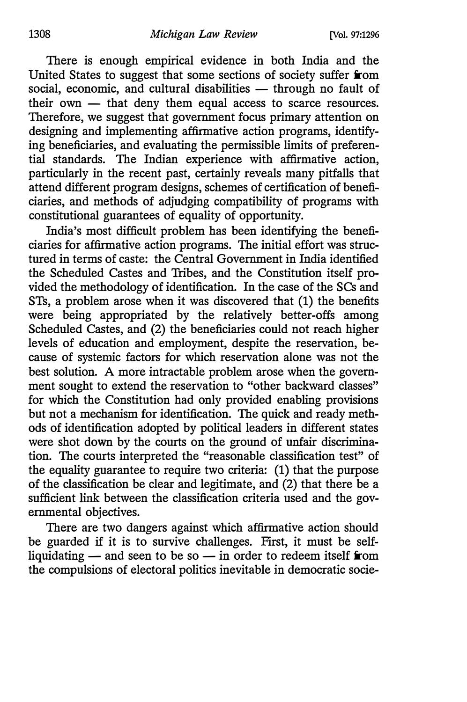There is enough empirical evidence in both India and the United States to suggest that some sections of society suffer from social, economic, and cultural disabilities - through no fault of their own  $-$  that deny them equal access to scarce resources. Therefore, we suggest that government focus primary attention on designing and implementing affirmative action programs, identifying beneficiaries, and evaluating the permissible limits of preferential standards. The Indian experience with affirmative action, particularly in the recent past, certainly reveals many pitfalls that attend different program designs, schemes of certification of beneficiaries, and methods of adjudging compatibility of programs with constitutional guarantees of equality of opportunity.

India's most difficult problem has been identifying the beneficiaries for affirmative action programs. The initial effort was structured in terms of caste: the Central Government in India identified the Scheduled Castes and Tribes, and the Constitution itself provided the methodology of identification. In the case of the SCs and STs, a problem arose when it was discovered that (1) the benefits were being appropriated by the relatively better-offs among Scheduled Castes, and (2) the beneficiaries could not reach higher levels of education and employment, despite the reservation, because of systemic factors for which reservation alone was not the best solution. A more intractable problem arose when the government sought to extend the reservation to "other backward classes" for which the Constitution had only provided enabling provisions but not a mechanism for identification. The quick and ready methods of identification adopted by political leaders in different states were shot down by the courts on the ground of unfair discrimination. The courts interpreted the "reasonable classification test" of the equality guarantee to require two criteria: (1) that the purpose of the classification be clear and legitimate, and (2) that there be a sufficient link between the classification criteria used and the governmental objectives.

There are two dangers against which affirmative action should be guarded if it is to survive challenges. First, it must be selfliquidating  $-$  and seen to be so  $-$  in order to redeem itself from the compulsions of electoral politics inevitable in democratic socie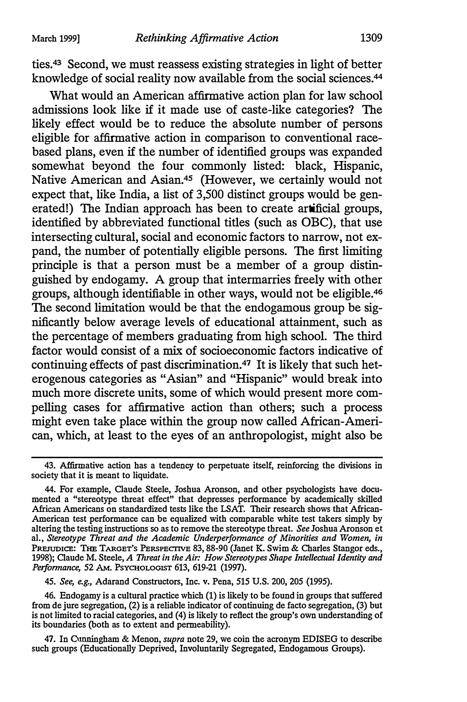ties.43 Second, we must reassess existing strategies in light of better knowledge of social reality now available from the social sciences.<sup>44</sup>

What would an American affirmative action plan for law school admissions look like if it made use of caste-like categories? The likely effect would be to reduce the absolute number of persons eligible for affirmative action in comparison to conventional racebased plans, even if the number of identified groups was expanded somewhat beyond the four commonly listed: black, Hispanic, Native American and Asian.45 (However, we certainly would not expect that, like India, a list of 3,500 distinct groups would be generated!) The Indian approach has been to create artificial groups, identified by abbreviated functional titles (such as OBC), that use intersecting cultural, social and economic factors to narrow, not expand, the number of potentially eligible persons. The first limiting principle is that a person must be a member of a group distinguished by endogamy. A group that intermarries freely with other groups, although identifiable in other ways, would not be eligible.46 The second limitation would be that the endogamous group be significantly below average levels of educational attainment, such as the percentage of members graduating from high school. The third factor would consist of a mix of socioeconomic factors indicative of continuing effects of past discrimination.47 It is likely that such heterogenous categories as "Asian" and "Hispanic" would break into much more discrete units, some of which would present more compelling cases for affirmative action than others; such a process might even take place within the group now called African-American, which, at least to the eyes of an anthropologist, might also be

45. See, e.g., Adarand Constructors, Inc. v. Pena, 515 U.S. 200, 205 (1995).

46. Endogamy is a cultural practice which (1) is likely to be found in groups that suffered from de jure segregation, (2) is a reliable indicator of continuing de facto segregation, (3) but is not limited to racial categories, and (4) is likely to reflect the group's own understanding of its boundaries (both as to extent and permeability).

47. In Cunningham & Menon, supra note 29, we coin the acronym EDISEG to describe such groups (Educationally Deprived, Involuntarily Segregated, Endogamous Groups).

<sup>43.</sup> Affirmative action has a tendency to perpetuate itself, reinforcing the divisions in society that it is meant to liquidate.

<sup>44.</sup> For example, Claude Steele, Joshua Aronson, and other psychologists have documented a "stereotype threat effect" that depresses performance by academically skilled African Americans on standardized tests like the LSAT. Their research shows that African-American test performance can be equalized with comparable white test takers simply by altering the testing instructions so as to remove the stereotype threat. See Joshua Aronson et al., Stereotype Threat and the Academic Underperformance of Minorities and Women, in PREJUDICE: THE TARGET'S PERSPECTIVE 83, 88-90 (Janet K. Swim & Charles Stangor eds., 1998); Claude M. Steele, A Threat in the Air: How Stereotypes Shape Intellectual Identity and Performance, 52 AM. PSYCHOLOGIST 613, 619-21 (1997).